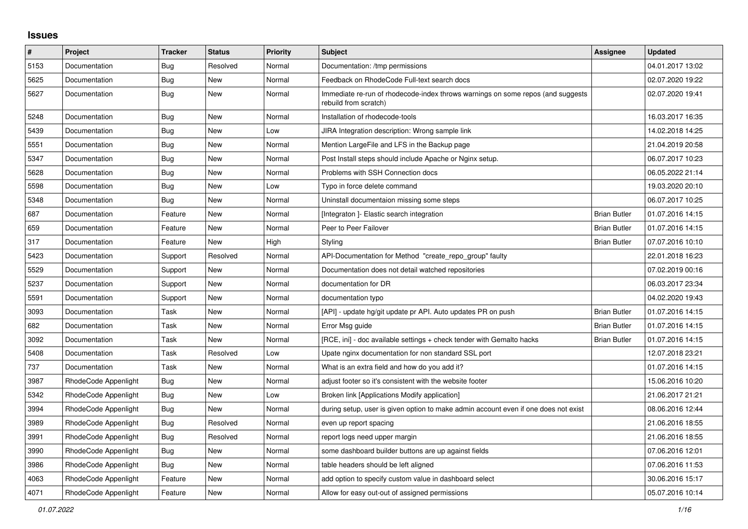## **Issues**

| $\pmb{\#}$ | Project              | <b>Tracker</b> | <b>Status</b> | <b>Priority</b> | <b>Subject</b>                                                                                           | Assignee            | <b>Updated</b>   |
|------------|----------------------|----------------|---------------|-----------------|----------------------------------------------------------------------------------------------------------|---------------------|------------------|
| 5153       | Documentation        | Bug            | Resolved      | Normal          | Documentation: /tmp permissions                                                                          |                     | 04.01.2017 13:02 |
| 5625       | Documentation        | Bug            | New           | Normal          | Feedback on RhodeCode Full-text search docs                                                              |                     | 02.07.2020 19:22 |
| 5627       | Documentation        | Bug            | New           | Normal          | Immediate re-run of rhodecode-index throws warnings on some repos (and suggests<br>rebuild from scratch) |                     | 02.07.2020 19:41 |
| 5248       | Documentation        | Bug            | New           | Normal          | Installation of rhodecode-tools                                                                          |                     | 16.03.2017 16:35 |
| 5439       | Documentation        | Bug            | New           | Low             | JIRA Integration description: Wrong sample link                                                          |                     | 14.02.2018 14:25 |
| 5551       | Documentation        | Bug            | <b>New</b>    | Normal          | Mention LargeFile and LFS in the Backup page                                                             |                     | 21.04.2019 20:58 |
| 5347       | Documentation        | Bug            | New           | Normal          | Post Install steps should include Apache or Nginx setup.                                                 |                     | 06.07.2017 10:23 |
| 5628       | Documentation        | Bug            | New           | Normal          | Problems with SSH Connection docs                                                                        |                     | 06.05.2022 21:14 |
| 5598       | Documentation        | Bug            | New           | Low             | Typo in force delete command                                                                             |                     | 19.03.2020 20:10 |
| 5348       | Documentation        | Bug            | New           | Normal          | Uninstall documentaion missing some steps                                                                |                     | 06.07.2017 10:25 |
| 687        | Documentation        | Feature        | New           | Normal          | [Integraton] - Elastic search integration                                                                | <b>Brian Butler</b> | 01.07.2016 14:15 |
| 659        | Documentation        | Feature        | New           | Normal          | Peer to Peer Failover                                                                                    | <b>Brian Butler</b> | 01.07.2016 14:15 |
| 317        | Documentation        | Feature        | New           | High            | Styling                                                                                                  | <b>Brian Butler</b> | 07.07.2016 10:10 |
| 5423       | Documentation        | Support        | Resolved      | Normal          | API-Documentation for Method "create repo group" faulty                                                  |                     | 22.01.2018 16:23 |
| 5529       | Documentation        | Support        | New           | Normal          | Documentation does not detail watched repositories                                                       |                     | 07.02.2019 00:16 |
| 5237       | Documentation        | Support        | New           | Normal          | documentation for DR                                                                                     |                     | 06.03.2017 23:34 |
| 5591       | Documentation        | Support        | New           | Normal          | documentation typo                                                                                       |                     | 04.02.2020 19:43 |
| 3093       | Documentation        | Task           | New           | Normal          | [API] - update hg/git update pr API. Auto updates PR on push                                             | <b>Brian Butler</b> | 01.07.2016 14:15 |
| 682        | Documentation        | Task           | New           | Normal          | Error Msg guide                                                                                          | <b>Brian Butler</b> | 01.07.2016 14:15 |
| 3092       | Documentation        | Task           | New           | Normal          | [RCE, ini] - doc available settings + check tender with Gemalto hacks                                    | <b>Brian Butler</b> | 01.07.2016 14:15 |
| 5408       | Documentation        | Task           | Resolved      | Low             | Upate nginx documentation for non standard SSL port                                                      |                     | 12.07.2018 23:21 |
| 737        | Documentation        | Task           | New           | Normal          | What is an extra field and how do you add it?                                                            |                     | 01.07.2016 14:15 |
| 3987       | RhodeCode Appenlight | Bug            | New           | Normal          | adjust footer so it's consistent with the website footer                                                 |                     | 15.06.2016 10:20 |
| 5342       | RhodeCode Appenlight | Bug            | <b>New</b>    | Low             | Broken link [Applications Modify application]                                                            |                     | 21.06.2017 21:21 |
| 3994       | RhodeCode Appenlight | Bug            | New           | Normal          | during setup, user is given option to make admin account even if one does not exist                      |                     | 08.06.2016 12:44 |
| 3989       | RhodeCode Appenlight | <b>Bug</b>     | Resolved      | Normal          | even up report spacing                                                                                   |                     | 21.06.2016 18:55 |
| 3991       | RhodeCode Appenlight | <b>Bug</b>     | Resolved      | Normal          | report logs need upper margin                                                                            |                     | 21.06.2016 18:55 |
| 3990       | RhodeCode Appenlight | Bug            | New           | Normal          | some dashboard builder buttons are up against fields                                                     |                     | 07.06.2016 12:01 |
| 3986       | RhodeCode Appenlight | Bug            | New           | Normal          | table headers should be left aligned                                                                     |                     | 07.06.2016 11:53 |
| 4063       | RhodeCode Appenlight | Feature        | New           | Normal          | add option to specify custom value in dashboard select                                                   |                     | 30.06.2016 15:17 |
| 4071       | RhodeCode Appenlight | Feature        | <b>New</b>    | Normal          | Allow for easy out-out of assigned permissions                                                           |                     | 05.07.2016 10:14 |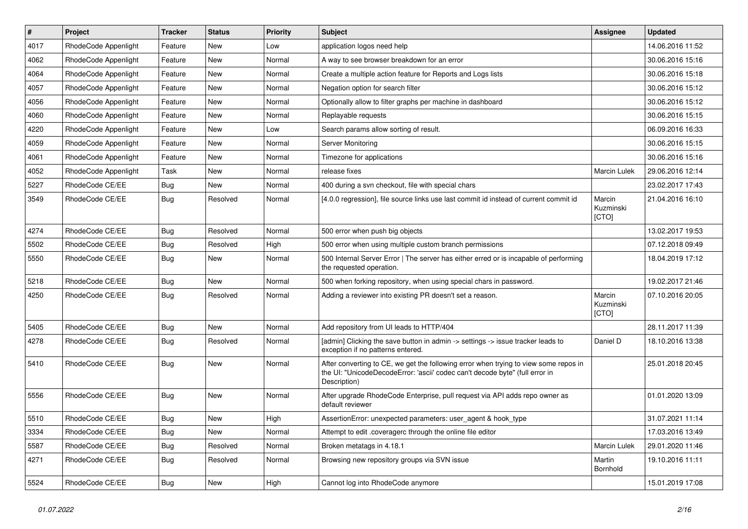| $\pmb{\#}$ | Project              | <b>Tracker</b> | <b>Status</b> | Priority | Subject                                                                                                                                                                              | Assignee                     | <b>Updated</b>   |
|------------|----------------------|----------------|---------------|----------|--------------------------------------------------------------------------------------------------------------------------------------------------------------------------------------|------------------------------|------------------|
| 4017       | RhodeCode Appenlight | Feature        | New           | Low      | application logos need help                                                                                                                                                          |                              | 14.06.2016 11:52 |
| 4062       | RhodeCode Appenlight | Feature        | <b>New</b>    | Normal   | A way to see browser breakdown for an error                                                                                                                                          |                              | 30.06.2016 15:16 |
| 4064       | RhodeCode Appenlight | Feature        | New           | Normal   | Create a multiple action feature for Reports and Logs lists                                                                                                                          |                              | 30.06.2016 15:18 |
| 4057       | RhodeCode Appenlight | Feature        | New           | Normal   | Negation option for search filter                                                                                                                                                    |                              | 30.06.2016 15:12 |
| 4056       | RhodeCode Appenlight | Feature        | <b>New</b>    | Normal   | Optionally allow to filter graphs per machine in dashboard                                                                                                                           |                              | 30.06.2016 15:12 |
| 4060       | RhodeCode Appenlight | Feature        | New           | Normal   | Replayable requests                                                                                                                                                                  |                              | 30.06.2016 15:15 |
| 4220       | RhodeCode Appenlight | Feature        | <b>New</b>    | Low      | Search params allow sorting of result.                                                                                                                                               |                              | 06.09.2016 16:33 |
| 4059       | RhodeCode Appenlight | Feature        | New           | Normal   | Server Monitoring                                                                                                                                                                    |                              | 30.06.2016 15:15 |
| 4061       | RhodeCode Appenlight | Feature        | <b>New</b>    | Normal   | Timezone for applications                                                                                                                                                            |                              | 30.06.2016 15:16 |
| 4052       | RhodeCode Appenlight | Task           | <b>New</b>    | Normal   | release fixes                                                                                                                                                                        | Marcin Lulek                 | 29.06.2016 12:14 |
| 5227       | RhodeCode CE/EE      | Bug            | New           | Normal   | 400 during a svn checkout, file with special chars                                                                                                                                   |                              | 23.02.2017 17:43 |
| 3549       | RhodeCode CE/EE      | Bug            | Resolved      | Normal   | [4.0.0 regression], file source links use last commit id instead of current commit id                                                                                                | Marcin<br>Kuzminski<br>[CTO] | 21.04.2016 16:10 |
| 4274       | RhodeCode CE/EE      | Bug            | Resolved      | Normal   | 500 error when push big objects                                                                                                                                                      |                              | 13.02.2017 19:53 |
| 5502       | RhodeCode CE/EE      | Bug            | Resolved      | High     | 500 error when using multiple custom branch permissions                                                                                                                              |                              | 07.12.2018 09:49 |
| 5550       | RhodeCode CE/EE      | Bug            | New           | Normal   | 500 Internal Server Error   The server has either erred or is incapable of performing<br>the requested operation.                                                                    |                              | 18.04.2019 17:12 |
| 5218       | RhodeCode CE/EE      | Bug            | <b>New</b>    | Normal   | 500 when forking repository, when using special chars in password.                                                                                                                   |                              | 19.02.2017 21:46 |
| 4250       | RhodeCode CE/EE      | Bug            | Resolved      | Normal   | Adding a reviewer into existing PR doesn't set a reason.                                                                                                                             | Marcin<br>Kuzminski<br>[CTO] | 07.10.2016 20:05 |
| 5405       | RhodeCode CE/EE      | Bug            | <b>New</b>    | Normal   | Add repository from UI leads to HTTP/404                                                                                                                                             |                              | 28.11.2017 11:39 |
| 4278       | RhodeCode CE/EE      | Bug            | Resolved      | Normal   | [admin] Clicking the save button in admin -> settings -> issue tracker leads to<br>exception if no patterns entered.                                                                 | Daniel D                     | 18.10.2016 13:38 |
| 5410       | RhodeCode CE/EE      | <b>Bug</b>     | New           | Normal   | After converting to CE, we get the following error when trying to view some repos in<br>the UI: "UnicodeDecodeError: 'ascii' codec can't decode byte" (full error in<br>Description) |                              | 25.01.2018 20:45 |
| 5556       | RhodeCode CE/EE      | <b>Bug</b>     | <b>New</b>    | Normal   | After upgrade RhodeCode Enterprise, pull request via API adds repo owner as<br>default reviewer                                                                                      |                              | 01.01.2020 13:09 |
| 5510       | RhodeCode CE/EE      | Bug            | New           | High     | AssertionError: unexpected parameters: user agent & hook type                                                                                                                        |                              | 31.07.2021 11:14 |
| 3334       | RhodeCode CE/EE      | <b>Bug</b>     | New           | Normal   | Attempt to edit .coveragerc through the online file editor                                                                                                                           |                              | 17.03.2016 13:49 |
| 5587       | RhodeCode CE/EE      | <b>Bug</b>     | Resolved      | Normal   | Broken metatags in 4.18.1                                                                                                                                                            | Marcin Lulek                 | 29.01.2020 11:46 |
| 4271       | RhodeCode CE/EE      | Bug            | Resolved      | Normal   | Browsing new repository groups via SVN issue                                                                                                                                         | Martin<br>Bornhold           | 19.10.2016 11:11 |
| 5524       | RhodeCode CE/EE      | Bug            | New           | High     | Cannot log into RhodeCode anymore                                                                                                                                                    |                              | 15.01.2019 17:08 |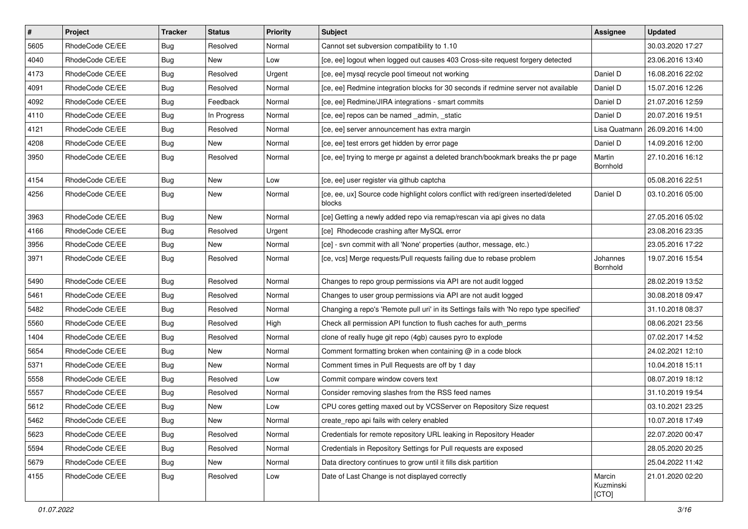| $\vert$ # | Project         | <b>Tracker</b> | <b>Status</b> | <b>Priority</b> | <b>Subject</b>                                                                               | Assignee                     | <b>Updated</b>                   |
|-----------|-----------------|----------------|---------------|-----------------|----------------------------------------------------------------------------------------------|------------------------------|----------------------------------|
| 5605      | RhodeCode CE/EE | <b>Bug</b>     | Resolved      | Normal          | Cannot set subversion compatibility to 1.10                                                  |                              | 30.03.2020 17:27                 |
| 4040      | RhodeCode CE/EE | Bug            | New           | Low             | [ce, ee] logout when logged out causes 403 Cross-site request forgery detected               |                              | 23.06.2016 13:40                 |
| 4173      | RhodeCode CE/EE | <b>Bug</b>     | Resolved      | Urgent          | [ce, ee] mysql recycle pool timeout not working                                              | Daniel D                     | 16.08.2016 22:02                 |
| 4091      | RhodeCode CE/EE | <b>Bug</b>     | Resolved      | Normal          | [ce, ee] Redmine integration blocks for 30 seconds if redmine server not available           | Daniel D                     | 15.07.2016 12:26                 |
| 4092      | RhodeCode CE/EE | <b>Bug</b>     | Feedback      | Normal          | [ce, ee] Redmine/JIRA integrations - smart commits                                           | Daniel D                     | 21.07.2016 12:59                 |
| 4110      | RhodeCode CE/EE | <b>Bug</b>     | In Progress   | Normal          | [ce, ee] repos can be named _admin, _static                                                  | Daniel D                     | 20.07.2016 19:51                 |
| 4121      | RhodeCode CE/EE | <b>Bug</b>     | Resolved      | Normal          | [ce, ee] server announcement has extra margin                                                |                              | Lisa Quatmann   26.09.2016 14:00 |
| 4208      | RhodeCode CE/EE | <b>Bug</b>     | New           | Normal          | [ce, ee] test errors get hidden by error page                                                | Daniel D                     | 14.09.2016 12:00                 |
| 3950      | RhodeCode CE/EE | Bug            | Resolved      | Normal          | [ce, ee] trying to merge pr against a deleted branch/bookmark breaks the pr page             | Martin<br>Bornhold           | 27.10.2016 16:12                 |
| 4154      | RhodeCode CE/EE | Bug            | New           | Low             | [ce, ee] user register via github captcha                                                    |                              | 05.08.2016 22:51                 |
| 4256      | RhodeCode CE/EE | <b>Bug</b>     | New           | Normal          | [ce, ee, ux] Source code highlight colors conflict with red/green inserted/deleted<br>blocks | Daniel D                     | 03.10.2016 05:00                 |
| 3963      | RhodeCode CE/EE | <b>Bug</b>     | New           | Normal          | [ce] Getting a newly added repo via remap/rescan via api gives no data                       |                              | 27.05.2016 05:02                 |
| 4166      | RhodeCode CE/EE | <b>Bug</b>     | Resolved      | Urgent          | [ce] Rhodecode crashing after MySQL error                                                    |                              | 23.08.2016 23:35                 |
| 3956      | RhodeCode CE/EE | <b>Bug</b>     | New           | Normal          | [ce] - svn commit with all 'None' properties (author, message, etc.)                         |                              | 23.05.2016 17:22                 |
| 3971      | RhodeCode CE/EE | Bug            | Resolved      | Normal          | [ce, vcs] Merge requests/Pull requests failing due to rebase problem                         | Johannes<br>Bornhold         | 19.07.2016 15:54                 |
| 5490      | RhodeCode CE/EE | Bug            | Resolved      | Normal          | Changes to repo group permissions via API are not audit logged                               |                              | 28.02.2019 13:52                 |
| 5461      | RhodeCode CE/EE | <b>Bug</b>     | Resolved      | Normal          | Changes to user group permissions via API are not audit logged                               |                              | 30.08.2018 09:47                 |
| 5482      | RhodeCode CE/EE | Bug            | Resolved      | Normal          | Changing a repo's 'Remote pull uri' in its Settings fails with 'No repo type specified'      |                              | 31.10.2018 08:37                 |
| 5560      | RhodeCode CE/EE | <b>Bug</b>     | Resolved      | High            | Check all permission API function to flush caches for auth perms                             |                              | 08.06.2021 23:56                 |
| 1404      | RhodeCode CE/EE | <b>Bug</b>     | Resolved      | Normal          | clone of really huge git repo (4gb) causes pyro to explode                                   |                              | 07.02.2017 14:52                 |
| 5654      | RhodeCode CE/EE | <b>Bug</b>     | New           | Normal          | Comment formatting broken when containing $@$ in a code block                                |                              | 24.02.2021 12:10                 |
| 5371      | RhodeCode CE/EE | <b>Bug</b>     | New           | Normal          | Comment times in Pull Requests are off by 1 day                                              |                              | 10.04.2018 15:11                 |
| 5558      | RhodeCode CE/EE | <b>Bug</b>     | Resolved      | Low             | Commit compare window covers text                                                            |                              | 08.07.2019 18:12                 |
| 5557      | RhodeCode CE/EE | <b>Bug</b>     | Resolved      | Normal          | Consider removing slashes from the RSS feed names                                            |                              | 31.10.2019 19:54                 |
| 5612      | RhodeCode CE/EE | <b>Bug</b>     | New           | Low             | CPU cores getting maxed out by VCSServer on Repository Size request                          |                              | 03.10.2021 23:25                 |
| 5462      | RhodeCode CE/EE | <b>Bug</b>     | New           | Normal          | create_repo api fails with celery enabled                                                    |                              | 10.07.2018 17:49                 |
| 5623      | RhodeCode CE/EE | Bug            | Resolved      | Normal          | Credentials for remote repository URL leaking in Repository Header                           |                              | 22.07.2020 00:47                 |
| 5594      | RhodeCode CE/EE | <b>Bug</b>     | Resolved      | Normal          | Credentials in Repository Settings for Pull requests are exposed                             |                              | 28.05.2020 20:25                 |
| 5679      | RhodeCode CE/EE | <b>Bug</b>     | New           | Normal          | Data directory continues to grow until it fills disk partition                               |                              | 25.04.2022 11:42                 |
| 4155      | RhodeCode CE/EE | <b>Bug</b>     | Resolved      | Low             | Date of Last Change is not displayed correctly                                               | Marcin<br>Kuzminski<br>[CTO] | 21.01.2020 02:20                 |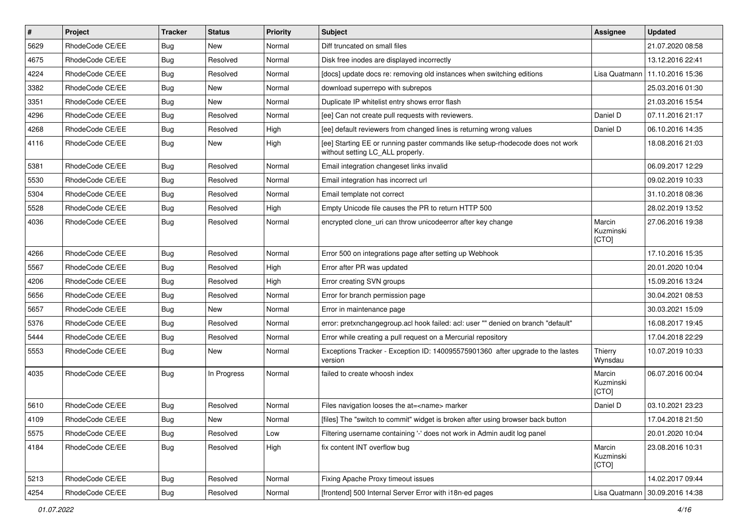| $\vert$ # | Project         | <b>Tracker</b> | <b>Status</b> | <b>Priority</b> | Subject                                                                                                            | <b>Assignee</b>              | <b>Updated</b>   |
|-----------|-----------------|----------------|---------------|-----------------|--------------------------------------------------------------------------------------------------------------------|------------------------------|------------------|
| 5629      | RhodeCode CE/EE | Bug            | New           | Normal          | Diff truncated on small files                                                                                      |                              | 21.07.2020 08:58 |
| 4675      | RhodeCode CE/EE | Bug            | Resolved      | Normal          | Disk free inodes are displayed incorrectly                                                                         |                              | 13.12.2016 22:41 |
| 4224      | RhodeCode CE/EE | Bug            | Resolved      | Normal          | [docs] update docs re: removing old instances when switching editions                                              | Lisa Quatmann                | 11.10.2016 15:36 |
| 3382      | RhodeCode CE/EE | Bug            | <b>New</b>    | Normal          | download superrepo with subrepos                                                                                   |                              | 25.03.2016 01:30 |
| 3351      | RhodeCode CE/EE | <b>Bug</b>     | <b>New</b>    | Normal          | Duplicate IP whitelist entry shows error flash                                                                     |                              | 21.03.2016 15:54 |
| 4296      | RhodeCode CE/EE | Bug            | Resolved      | Normal          | [ee] Can not create pull requests with reviewers.                                                                  | Daniel D                     | 07.11.2016 21:17 |
| 4268      | RhodeCode CE/EE | Bug            | Resolved      | High            | [ee] default reviewers from changed lines is returning wrong values                                                | Daniel D                     | 06.10.2016 14:35 |
| 4116      | RhodeCode CE/EE | Bug            | New           | High            | [ee] Starting EE or running paster commands like setup-rhodecode does not work<br>without setting LC ALL properly. |                              | 18.08.2016 21:03 |
| 5381      | RhodeCode CE/EE | Bug            | Resolved      | Normal          | Email integration changeset links invalid                                                                          |                              | 06.09.2017 12:29 |
| 5530      | RhodeCode CE/EE | <b>Bug</b>     | Resolved      | Normal          | Email integration has incorrect url                                                                                |                              | 09.02.2019 10:33 |
| 5304      | RhodeCode CE/EE | Bug            | Resolved      | Normal          | Email template not correct                                                                                         |                              | 31.10.2018 08:36 |
| 5528      | RhodeCode CE/EE | <b>Bug</b>     | Resolved      | High            | Empty Unicode file causes the PR to return HTTP 500                                                                |                              | 28.02.2019 13:52 |
| 4036      | RhodeCode CE/EE | Bug            | Resolved      | Normal          | encrypted clone uri can throw unicodeerror after key change                                                        | Marcin<br>Kuzminski<br>[CTO] | 27.06.2016 19:38 |
| 4266      | RhodeCode CE/EE | <b>Bug</b>     | Resolved      | Normal          | Error 500 on integrations page after setting up Webhook                                                            |                              | 17.10.2016 15:35 |
| 5567      | RhodeCode CE/EE | Bug            | Resolved      | High            | Error after PR was updated                                                                                         |                              | 20.01.2020 10:04 |
| 4206      | RhodeCode CE/EE | Bug            | Resolved      | High            | Error creating SVN groups                                                                                          |                              | 15.09.2016 13:24 |
| 5656      | RhodeCode CE/EE | <b>Bug</b>     | Resolved      | Normal          | Error for branch permission page                                                                                   |                              | 30.04.2021 08:53 |
| 5657      | RhodeCode CE/EE | Bug            | <b>New</b>    | Normal          | Error in maintenance page                                                                                          |                              | 30.03.2021 15:09 |
| 5376      | RhodeCode CE/EE | Bug            | Resolved      | Normal          | error: pretxnchangegroup.acl hook failed: acl: user "" denied on branch "default"                                  |                              | 16.08.2017 19:45 |
| 5444      | RhodeCode CE/EE | Bug            | Resolved      | Normal          | Error while creating a pull request on a Mercurial repository                                                      |                              | 17.04.2018 22:29 |
| 5553      | RhodeCode CE/EE | Bug            | New           | Normal          | Exceptions Tracker - Exception ID: 140095575901360 after upgrade to the lastes<br>version                          | Thierry<br>Wynsdau           | 10.07.2019 10:33 |
| 4035      | RhodeCode CE/EE | <b>Bug</b>     | In Progress   | Normal          | failed to create whoosh index                                                                                      | Marcin<br>Kuzminski<br>[CTO] | 06.07.2016 00:04 |
| 5610      | RhodeCode CE/EE | Bug            | Resolved      | Normal          | Files navigation looses the at= <name> marker</name>                                                               | Daniel D                     | 03.10.2021 23:23 |
| 4109      | RhodeCode CE/EE | Bug            | New           | Normal          | [files] The "switch to commit" widget is broken after using browser back button                                    |                              | 17.04.2018 21:50 |
| 5575      | RhodeCode CE/EE | Bug            | Resolved      | Low             | Filtering username containing '-' does not work in Admin audit log panel                                           |                              | 20.01.2020 10:04 |
| 4184      | RhodeCode CE/EE | <b>Bug</b>     | Resolved      | High            | fix content INT overflow bug                                                                                       | Marcin<br>Kuzminski<br>[CTO] | 23.08.2016 10:31 |
| 5213      | RhodeCode CE/EE | Bug            | Resolved      | Normal          | Fixing Apache Proxy timeout issues                                                                                 |                              | 14.02.2017 09:44 |
| 4254      | RhodeCode CE/EE | <b>Bug</b>     | Resolved      | Normal          | [frontend] 500 Internal Server Error with i18n-ed pages                                                            | Lisa Quatmann                | 30.09.2016 14:38 |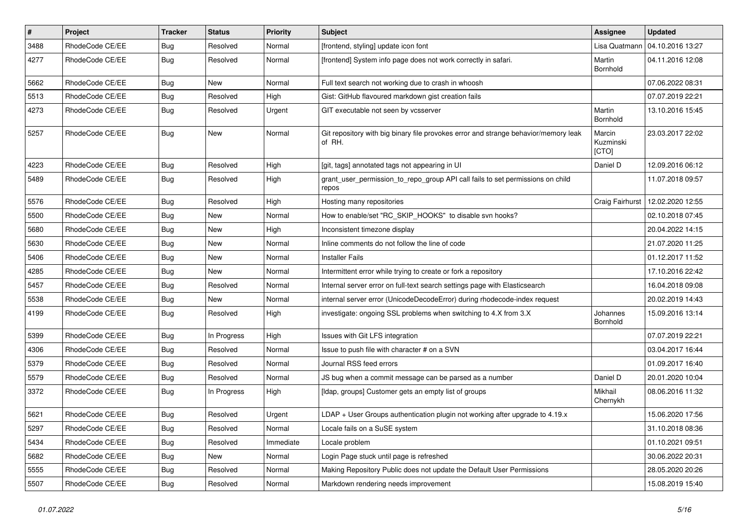| #    | Project         | <b>Tracker</b> | <b>Status</b> | Priority  | <b>Subject</b>                                                                                | <b>Assignee</b>              | <b>Updated</b>   |
|------|-----------------|----------------|---------------|-----------|-----------------------------------------------------------------------------------------------|------------------------------|------------------|
| 3488 | RhodeCode CE/EE | <b>Bug</b>     | Resolved      | Normal    | [frontend, styling] update icon font                                                          | Lisa Quatmann                | 04.10.2016 13:27 |
| 4277 | RhodeCode CE/EE | Bug            | Resolved      | Normal    | [frontend] System info page does not work correctly in safari.                                | Martin<br>Bornhold           | 04.11.2016 12:08 |
| 5662 | RhodeCode CE/EE | Bug            | <b>New</b>    | Normal    | Full text search not working due to crash in whoosh                                           |                              | 07.06.2022 08:31 |
| 5513 | RhodeCode CE/EE | <b>Bug</b>     | Resolved      | High      | Gist: GitHub flavoured markdown gist creation fails                                           |                              | 07.07.2019 22:21 |
| 4273 | RhodeCode CE/EE | Bug            | Resolved      | Urgent    | GIT executable not seen by vcsserver                                                          | Martin<br>Bornhold           | 13.10.2016 15:45 |
| 5257 | RhodeCode CE/EE | <b>Bug</b>     | New           | Normal    | Git repository with big binary file provokes error and strange behavior/memory leak<br>of RH. | Marcin<br>Kuzminski<br>[CTO] | 23.03.2017 22:02 |
| 4223 | RhodeCode CE/EE | Bug            | Resolved      | High      | [git, tags] annotated tags not appearing in UI                                                | Daniel D                     | 12.09.2016 06:12 |
| 5489 | RhodeCode CE/EE | Bug            | Resolved      | High      | grant_user_permission_to_repo_group API call fails to set permissions on child<br>repos       |                              | 11.07.2018 09:57 |
| 5576 | RhodeCode CE/EE | Bug            | Resolved      | High      | Hosting many repositories                                                                     | Craig Fairhurst              | 12.02.2020 12:55 |
| 5500 | RhodeCode CE/EE | Bug            | New           | Normal    | How to enable/set "RC_SKIP_HOOKS" to disable svn hooks?                                       |                              | 02.10.2018 07:45 |
| 5680 | RhodeCode CE/EE | <b>Bug</b>     | <b>New</b>    | High      | Inconsistent timezone display                                                                 |                              | 20.04.2022 14:15 |
| 5630 | RhodeCode CE/EE | Bug            | New           | Normal    | Inline comments do not follow the line of code                                                |                              | 21.07.2020 11:25 |
| 5406 | RhodeCode CE/EE | Bug            | <b>New</b>    | Normal    | <b>Installer Fails</b>                                                                        |                              | 01.12.2017 11:52 |
| 4285 | RhodeCode CE/EE | Bug            | New           | Normal    | Intermittent error while trying to create or fork a repository                                |                              | 17.10.2016 22:42 |
| 5457 | RhodeCode CE/EE | Bug            | Resolved      | Normal    | Internal server error on full-text search settings page with Elasticsearch                    |                              | 16.04.2018 09:08 |
| 5538 | RhodeCode CE/EE | <b>Bug</b>     | <b>New</b>    | Normal    | internal server error (UnicodeDecodeError) during rhodecode-index request                     |                              | 20.02.2019 14:43 |
| 4199 | RhodeCode CE/EE | Bug            | Resolved      | High      | investigate: ongoing SSL problems when switching to 4.X from 3.X                              | Johannes<br>Bornhold         | 15.09.2016 13:14 |
| 5399 | RhodeCode CE/EE | Bug            | In Progress   | High      | Issues with Git LFS integration                                                               |                              | 07.07.2019 22:21 |
| 4306 | RhodeCode CE/EE | Bug            | Resolved      | Normal    | Issue to push file with character # on a SVN                                                  |                              | 03.04.2017 16:44 |
| 5379 | RhodeCode CE/EE | Bug            | Resolved      | Normal    | Journal RSS feed errors                                                                       |                              | 01.09.2017 16:40 |
| 5579 | RhodeCode CE/EE | Bug            | Resolved      | Normal    | JS bug when a commit message can be parsed as a number                                        | Daniel D                     | 20.01.2020 10:04 |
| 3372 | RhodeCode CE/EE | Bug            | In Progress   | High      | [Idap, groups] Customer gets an empty list of groups                                          | Mikhail<br>Chernykh          | 08.06.2016 11:32 |
| 5621 | RhodeCode CE/EE | Bug            | Resolved      | Urgent    | LDAP + User Groups authentication plugin not working after upgrade to 4.19.x                  |                              | 15.06.2020 17:56 |
| 5297 | RhodeCode CE/EE | <b>Bug</b>     | Resolved      | Normal    | Locale fails on a SuSE system                                                                 |                              | 31.10.2018 08:36 |
| 5434 | RhodeCode CE/EE | Bug            | Resolved      | Immediate | Locale problem                                                                                |                              | 01.10.2021 09:51 |
| 5682 | RhodeCode CE/EE | Bug            | New           | Normal    | Login Page stuck until page is refreshed                                                      |                              | 30.06.2022 20:31 |
| 5555 | RhodeCode CE/EE | <b>Bug</b>     | Resolved      | Normal    | Making Repository Public does not update the Default User Permissions                         |                              | 28.05.2020 20:26 |
| 5507 | RhodeCode CE/EE | <b>Bug</b>     | Resolved      | Normal    | Markdown rendering needs improvement                                                          |                              | 15.08.2019 15:40 |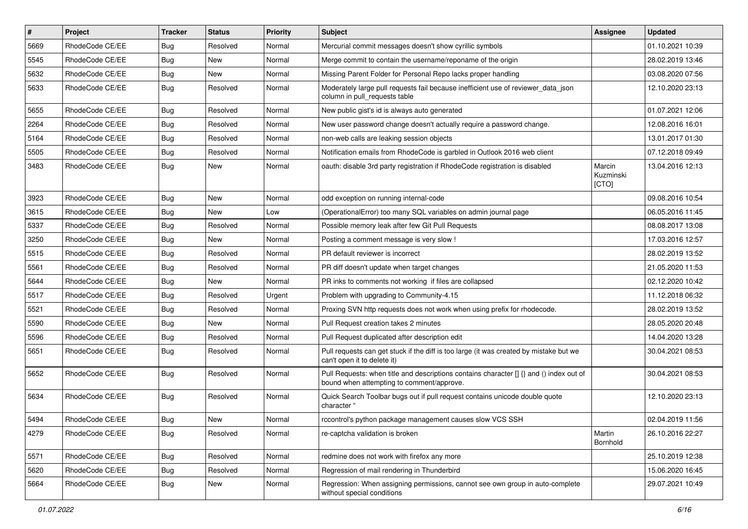| $\sharp$ | Project         | <b>Tracker</b> | <b>Status</b> | Priority | <b>Subject</b>                                                                                                                       | <b>Assignee</b>              | <b>Updated</b>   |
|----------|-----------------|----------------|---------------|----------|--------------------------------------------------------------------------------------------------------------------------------------|------------------------------|------------------|
| 5669     | RhodeCode CE/EE | <b>Bug</b>     | Resolved      | Normal   | Mercurial commit messages doesn't show cyrillic symbols                                                                              |                              | 01.10.2021 10:39 |
| 5545     | RhodeCode CE/EE | Bug            | <b>New</b>    | Normal   | Merge commit to contain the username/reponame of the origin                                                                          |                              | 28.02.2019 13:46 |
| 5632     | RhodeCode CE/EE | Bug            | New           | Normal   | Missing Parent Folder for Personal Repo lacks proper handling                                                                        |                              | 03.08.2020 07:56 |
| 5633     | RhodeCode CE/EE | <b>Bug</b>     | Resolved      | Normal   | Moderately large pull requests fail because inefficient use of reviewer_data_json<br>column in pull requests table                   |                              | 12.10.2020 23:13 |
| 5655     | RhodeCode CE/EE | Bug            | Resolved      | Normal   | New public gist's id is always auto generated                                                                                        |                              | 01.07.2021 12:06 |
| 2264     | RhodeCode CE/EE | <b>Bug</b>     | Resolved      | Normal   | New user password change doesn't actually require a password change.                                                                 |                              | 12.08.2016 16:01 |
| 5164     | RhodeCode CE/EE | Bug            | Resolved      | Normal   | non-web calls are leaking session objects                                                                                            |                              | 13.01.2017 01:30 |
| 5505     | RhodeCode CE/EE | Bug            | Resolved      | Normal   | Notification emails from RhodeCode is garbled in Outlook 2016 web client                                                             |                              | 07.12.2018 09:49 |
| 3483     | RhodeCode CE/EE | <b>Bug</b>     | New           | Normal   | oauth: disable 3rd party registration if RhodeCode registration is disabled                                                          | Marcin<br>Kuzminski<br>[CTO] | 13.04.2016 12:13 |
| 3923     | RhodeCode CE/EE | Bug            | <b>New</b>    | Normal   | odd exception on running internal-code                                                                                               |                              | 09.08.2016 10:54 |
| 3615     | RhodeCode CE/EE | Bug            | New           | Low      | (OperationalError) too many SQL variables on admin journal page                                                                      |                              | 06.05.2016 11:45 |
| 5337     | RhodeCode CE/EE | Bug            | Resolved      | Normal   | Possible memory leak after few Git Pull Requests                                                                                     |                              | 08.08.2017 13:08 |
| 3250     | RhodeCode CE/EE | <b>Bug</b>     | New           | Normal   | Posting a comment message is very slow !                                                                                             |                              | 17.03.2016 12:57 |
| 5515     | RhodeCode CE/EE | Bug            | Resolved      | Normal   | PR default reviewer is incorrect                                                                                                     |                              | 28.02.2019 13:52 |
| 5561     | RhodeCode CE/EE | Bug            | Resolved      | Normal   | PR diff doesn't update when target changes                                                                                           |                              | 21.05.2020 11:53 |
| 5644     | RhodeCode CE/EE | Bug            | <b>New</b>    | Normal   | PR inks to comments not working if files are collapsed                                                                               |                              | 02.12.2020 10:42 |
| 5517     | RhodeCode CE/EE | Bug            | Resolved      | Urgent   | Problem with upgrading to Community-4.15                                                                                             |                              | 11.12.2018 06:32 |
| 5521     | RhodeCode CE/EE | Bug            | Resolved      | Normal   | Proxing SVN http requests does not work when using prefix for rhodecode.                                                             |                              | 28.02.2019 13:52 |
| 5590     | RhodeCode CE/EE | Bug            | New           | Normal   | Pull Request creation takes 2 minutes                                                                                                |                              | 28.05.2020 20:48 |
| 5596     | RhodeCode CE/EE | Bug            | Resolved      | Normal   | Pull Request duplicated after description edit                                                                                       |                              | 14.04.2020 13:28 |
| 5651     | RhodeCode CE/EE | Bug            | Resolved      | Normal   | Pull requests can get stuck if the diff is too large (it was created by mistake but we<br>can't open it to delete it)                |                              | 30.04.2021 08:53 |
| 5652     | RhodeCode CE/EE | Bug            | Resolved      | Normal   | Pull Requests: when title and descriptions contains character [] {} and () index out of<br>bound when attempting to comment/approve. |                              | 30.04.2021 08:53 |
| 5634     | RhodeCode CE/EE | Bug            | Resolved      | Normal   | Quick Search Toolbar bugs out if pull request contains unicode double quote<br>character "                                           |                              | 12.10.2020 23:13 |
| 5494     | RhodeCode CE/EE | Bug            | New           | Normal   | rccontrol's python package management causes slow VCS SSH                                                                            |                              | 02.04.2019 11:56 |
| 4279     | RhodeCode CE/EE | Bug            | Resolved      | Normal   | re-captcha validation is broken                                                                                                      | Martin<br>Bornhold           | 26.10.2016 22:27 |
| 5571     | RhodeCode CE/EE | Bug            | Resolved      | Normal   | redmine does not work with firefox any more                                                                                          |                              | 25.10.2019 12:38 |
| 5620     | RhodeCode CE/EE | <b>Bug</b>     | Resolved      | Normal   | Regression of mail rendering in Thunderbird                                                                                          |                              | 15.06.2020 16:45 |
| 5664     | RhodeCode CE/EE | Bug            | New           | Normal   | Regression: When assigning permissions, cannot see own group in auto-complete<br>without special conditions                          |                              | 29.07.2021 10:49 |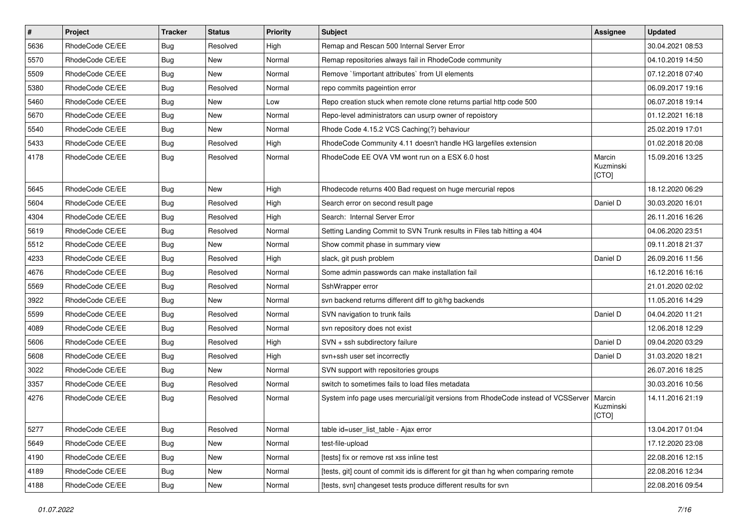| $\vert$ # | Project         | <b>Tracker</b> | <b>Status</b> | <b>Priority</b> | <b>Subject</b>                                                                      | <b>Assignee</b>              | <b>Updated</b>   |
|-----------|-----------------|----------------|---------------|-----------------|-------------------------------------------------------------------------------------|------------------------------|------------------|
| 5636      | RhodeCode CE/EE | Bug            | Resolved      | High            | Remap and Rescan 500 Internal Server Error                                          |                              | 30.04.2021 08:53 |
| 5570      | RhodeCode CE/EE | Bug            | <b>New</b>    | Normal          | Remap repositories always fail in RhodeCode community                               |                              | 04.10.2019 14:50 |
| 5509      | RhodeCode CE/EE | <b>Bug</b>     | New           | Normal          | Remove `limportant attributes` from UI elements                                     |                              | 07.12.2018 07:40 |
| 5380      | RhodeCode CE/EE | Bug            | Resolved      | Normal          | repo commits pageintion error                                                       |                              | 06.09.2017 19:16 |
| 5460      | RhodeCode CE/EE | Bug            | New           | Low             | Repo creation stuck when remote clone returns partial http code 500                 |                              | 06.07.2018 19:14 |
| 5670      | RhodeCode CE/EE | Bug            | New           | Normal          | Repo-level administrators can usurp owner of repoistory                             |                              | 01.12.2021 16:18 |
| 5540      | RhodeCode CE/EE | Bug            | <b>New</b>    | Normal          | Rhode Code 4.15.2 VCS Caching(?) behaviour                                          |                              | 25.02.2019 17:01 |
| 5433      | RhodeCode CE/EE | Bug            | Resolved      | High            | RhodeCode Community 4.11 doesn't handle HG largefiles extension                     |                              | 01.02.2018 20:08 |
| 4178      | RhodeCode CE/EE | Bug            | Resolved      | Normal          | RhodeCode EE OVA VM wont run on a ESX 6.0 host                                      | Marcin<br>Kuzminski<br>[CTO] | 15.09.2016 13:25 |
| 5645      | RhodeCode CE/EE | Bug            | New           | High            | Rhodecode returns 400 Bad request on huge mercurial repos                           |                              | 18.12.2020 06:29 |
| 5604      | RhodeCode CE/EE | Bug            | Resolved      | High            | Search error on second result page                                                  | Daniel D                     | 30.03.2020 16:01 |
| 4304      | RhodeCode CE/EE | Bug            | Resolved      | High            | Search: Internal Server Error                                                       |                              | 26.11.2016 16:26 |
| 5619      | RhodeCode CE/EE | Bug            | Resolved      | Normal          | Setting Landing Commit to SVN Trunk results in Files tab hitting a 404              |                              | 04.06.2020 23:51 |
| 5512      | RhodeCode CE/EE | Bug            | New           | Normal          | Show commit phase in summary view                                                   |                              | 09.11.2018 21:37 |
| 4233      | RhodeCode CE/EE | Bug            | Resolved      | High            | slack, git push problem                                                             | Daniel D                     | 26.09.2016 11:56 |
| 4676      | RhodeCode CE/EE | Bug            | Resolved      | Normal          | Some admin passwords can make installation fail                                     |                              | 16.12.2016 16:16 |
| 5569      | RhodeCode CE/EE | Bug            | Resolved      | Normal          | SshWrapper error                                                                    |                              | 21.01.2020 02:02 |
| 3922      | RhodeCode CE/EE | Bug            | <b>New</b>    | Normal          | svn backend returns different diff to git/hg backends                               |                              | 11.05.2016 14:29 |
| 5599      | RhodeCode CE/EE | Bug            | Resolved      | Normal          | SVN navigation to trunk fails                                                       | Daniel D                     | 04.04.2020 11:21 |
| 4089      | RhodeCode CE/EE | Bug            | Resolved      | Normal          | svn repository does not exist                                                       |                              | 12.06.2018 12:29 |
| 5606      | RhodeCode CE/EE | Bug            | Resolved      | High            | SVN + ssh subdirectory failure                                                      | Daniel D                     | 09.04.2020 03:29 |
| 5608      | RhodeCode CE/EE | Bug            | Resolved      | High            | svn+ssh user set incorrectly                                                        | Daniel D                     | 31.03.2020 18:21 |
| 3022      | RhodeCode CE/EE | <b>Bug</b>     | New           | Normal          | SVN support with repositories groups                                                |                              | 26.07.2016 18:25 |
| 3357      | RhodeCode CE/EE | Bug            | Resolved      | Normal          | switch to sometimes fails to load files metadata                                    |                              | 30.03.2016 10:56 |
| 4276      | RhodeCode CE/EE | Bug            | Resolved      | Normal          | System info page uses mercurial/git versions from RhodeCode instead of VCSServer    | Marcin<br>Kuzminski<br>[CTO] | 14.11.2016 21:19 |
| 5277      | RhodeCode CE/EE | Bug            | Resolved      | Normal          | table id=user list table - Ajax error                                               |                              | 13.04.2017 01:04 |
| 5649      | RhodeCode CE/EE | Bug            | New           | Normal          | test-file-upload                                                                    |                              | 17.12.2020 23:08 |
| 4190      | RhodeCode CE/EE | <b>Bug</b>     | New           | Normal          | [tests] fix or remove rst xss inline test                                           |                              | 22.08.2016 12:15 |
| 4189      | RhodeCode CE/EE | <b>Bug</b>     | New           | Normal          | [tests, git] count of commit ids is different for git than hg when comparing remote |                              | 22.08.2016 12:34 |
| 4188      | RhodeCode CE/EE | <b>Bug</b>     | New           | Normal          | [tests, svn] changeset tests produce different results for svn                      |                              | 22.08.2016 09:54 |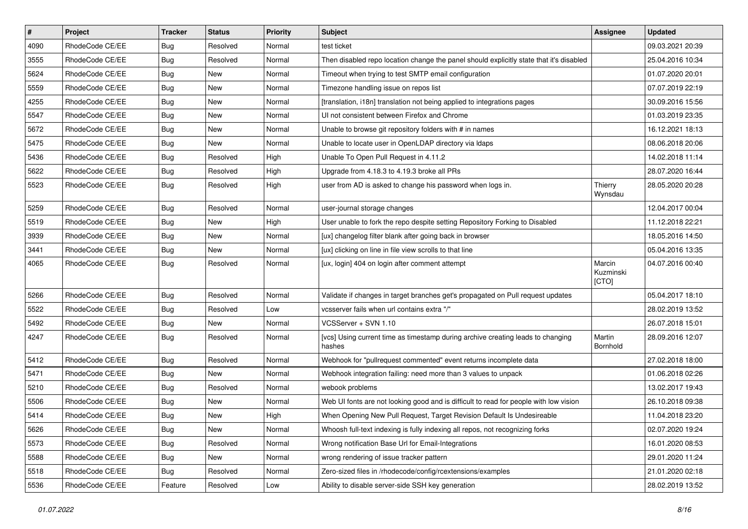| $\vert$ # | Project         | <b>Tracker</b> | <b>Status</b> | Priority | <b>Subject</b>                                                                            | <b>Assignee</b>              | <b>Updated</b>   |
|-----------|-----------------|----------------|---------------|----------|-------------------------------------------------------------------------------------------|------------------------------|------------------|
| 4090      | RhodeCode CE/EE | Bug            | Resolved      | Normal   | test ticket                                                                               |                              | 09.03.2021 20:39 |
| 3555      | RhodeCode CE/EE | Bug            | Resolved      | Normal   | Then disabled repo location change the panel should explicitly state that it's disabled   |                              | 25.04.2016 10:34 |
| 5624      | RhodeCode CE/EE | Bug            | New           | Normal   | Timeout when trying to test SMTP email configuration                                      |                              | 01.07.2020 20:01 |
| 5559      | RhodeCode CE/EE | Bug            | New           | Normal   | Timezone handling issue on repos list                                                     |                              | 07.07.2019 22:19 |
| 4255      | RhodeCode CE/EE | <b>Bug</b>     | <b>New</b>    | Normal   | [translation, i18n] translation not being applied to integrations pages                   |                              | 30.09.2016 15:56 |
| 5547      | RhodeCode CE/EE | Bug            | New           | Normal   | UI not consistent between Firefox and Chrome                                              |                              | 01.03.2019 23:35 |
| 5672      | RhodeCode CE/EE | Bug            | New           | Normal   | Unable to browse git repository folders with # in names                                   |                              | 16.12.2021 18:13 |
| 5475      | RhodeCode CE/EE | Bug            | <b>New</b>    | Normal   | Unable to locate user in OpenLDAP directory via Idaps                                     |                              | 08.06.2018 20:06 |
| 5436      | RhodeCode CE/EE | <b>Bug</b>     | Resolved      | High     | Unable To Open Pull Request in 4.11.2                                                     |                              | 14.02.2018 11:14 |
| 5622      | RhodeCode CE/EE | Bug            | Resolved      | High     | Upgrade from 4.18.3 to 4.19.3 broke all PRs                                               |                              | 28.07.2020 16:44 |
| 5523      | RhodeCode CE/EE | Bug            | Resolved      | High     | user from AD is asked to change his password when logs in.                                | Thierry<br>Wynsdau           | 28.05.2020 20:28 |
| 5259      | RhodeCode CE/EE | <b>Bug</b>     | Resolved      | Normal   | user-journal storage changes                                                              |                              | 12.04.2017 00:04 |
| 5519      | RhodeCode CE/EE | Bug            | New           | High     | User unable to fork the repo despite setting Repository Forking to Disabled               |                              | 11.12.2018 22:21 |
| 3939      | RhodeCode CE/EE | Bug            | New           | Normal   | [ux] changelog filter blank after going back in browser                                   |                              | 18.05.2016 14:50 |
| 3441      | RhodeCode CE/EE | Bug            | <b>New</b>    | Normal   | [ux] clicking on line in file view scrolls to that line                                   |                              | 05.04.2016 13:35 |
| 4065      | RhodeCode CE/EE | Bug            | Resolved      | Normal   | [ux, login] 404 on login after comment attempt                                            | Marcin<br>Kuzminski<br>[CTO] | 04.07.2016 00:40 |
| 5266      | RhodeCode CE/EE | <b>Bug</b>     | Resolved      | Normal   | Validate if changes in target branches get's propagated on Pull request updates           |                              | 05.04.2017 18:10 |
| 5522      | RhodeCode CE/EE | Bug            | Resolved      | Low      | vcsserver fails when url contains extra "/"                                               |                              | 28.02.2019 13:52 |
| 5492      | RhodeCode CE/EE | Bug            | New           | Normal   | VCSServer + SVN 1.10                                                                      |                              | 26.07.2018 15:01 |
| 4247      | RhodeCode CE/EE | Bug            | Resolved      | Normal   | [vcs] Using current time as timestamp during archive creating leads to changing<br>hashes | Martin<br>Bornhold           | 28.09.2016 12:07 |
| 5412      | RhodeCode CE/EE | Bug            | Resolved      | Normal   | Webhook for "pullrequest commented" event returns incomplete data                         |                              | 27.02.2018 18:00 |
| 5471      | RhodeCode CE/EE | Bug            | <b>New</b>    | Normal   | Webhook integration failing: need more than 3 values to unpack                            |                              | 01.06.2018 02:26 |
| 5210      | RhodeCode CE/EE | Bug            | Resolved      | Normal   | webook problems                                                                           |                              | 13.02.2017 19:43 |
| 5506      | RhodeCode CE/EE | Bug            | New           | Normal   | Web UI fonts are not looking good and is difficult to read for people with low vision     |                              | 26.10.2018 09:38 |
| 5414      | RhodeCode CE/EE | <b>Bug</b>     | <b>New</b>    | High     | When Opening New Pull Request, Target Revision Default Is Undesireable                    |                              | 11.04.2018 23:20 |
| 5626      | RhodeCode CE/EE | <b>Bug</b>     | New           | Normal   | Whoosh full-text indexing is fully indexing all repos, not recognizing forks              |                              | 02.07.2020 19:24 |
| 5573      | RhodeCode CE/EE | Bug            | Resolved      | Normal   | Wrong notification Base Url for Email-Integrations                                        |                              | 16.01.2020 08:53 |
| 5588      | RhodeCode CE/EE | <b>Bug</b>     | New           | Normal   | wrong rendering of issue tracker pattern                                                  |                              | 29.01.2020 11:24 |
| 5518      | RhodeCode CE/EE | <b>Bug</b>     | Resolved      | Normal   | Zero-sized files in /rhodecode/config/rcextensions/examples                               |                              | 21.01.2020 02:18 |
| 5536      | RhodeCode CE/EE | Feature        | Resolved      | Low      | Ability to disable server-side SSH key generation                                         |                              | 28.02.2019 13:52 |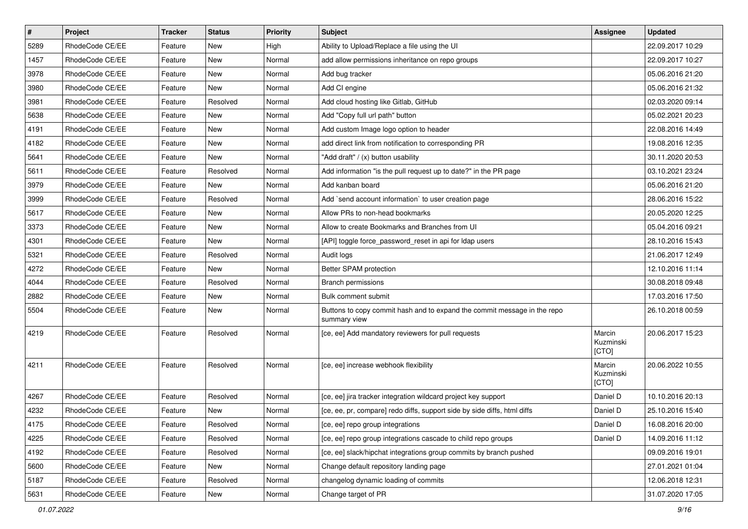| $\sharp$ | Project         | <b>Tracker</b> | <b>Status</b> | <b>Priority</b> | <b>Subject</b>                                                                           | <b>Assignee</b>              | <b>Updated</b>   |
|----------|-----------------|----------------|---------------|-----------------|------------------------------------------------------------------------------------------|------------------------------|------------------|
| 5289     | RhodeCode CE/EE | Feature        | New           | High            | Ability to Upload/Replace a file using the UI                                            |                              | 22.09.2017 10:29 |
| 1457     | RhodeCode CE/EE | Feature        | <b>New</b>    | Normal          | add allow permissions inheritance on repo groups                                         |                              | 22.09.2017 10:27 |
| 3978     | RhodeCode CE/EE | Feature        | New           | Normal          | Add bug tracker                                                                          |                              | 05.06.2016 21:20 |
| 3980     | RhodeCode CE/EE | Feature        | <b>New</b>    | Normal          | Add CI engine                                                                            |                              | 05.06.2016 21:32 |
| 3981     | RhodeCode CE/EE | Feature        | Resolved      | Normal          | Add cloud hosting like Gitlab, GitHub                                                    |                              | 02.03.2020 09:14 |
| 5638     | RhodeCode CE/EE | Feature        | New           | Normal          | Add "Copy full url path" button                                                          |                              | 05.02.2021 20:23 |
| 4191     | RhodeCode CE/EE | Feature        | New           | Normal          | Add custom Image logo option to header                                                   |                              | 22.08.2016 14:49 |
| 4182     | RhodeCode CE/EE | Feature        | <b>New</b>    | Normal          | add direct link from notification to corresponding PR                                    |                              | 19.08.2016 12:35 |
| 5641     | RhodeCode CE/EE | Feature        | <b>New</b>    | Normal          | "Add draft" / (x) button usability                                                       |                              | 30.11.2020 20:53 |
| 5611     | RhodeCode CE/EE | Feature        | Resolved      | Normal          | Add information "is the pull request up to date?" in the PR page                         |                              | 03.10.2021 23:24 |
| 3979     | RhodeCode CE/EE | Feature        | <b>New</b>    | Normal          | Add kanban board                                                                         |                              | 05.06.2016 21:20 |
| 3999     | RhodeCode CE/EE | Feature        | Resolved      | Normal          | Add `send account information` to user creation page                                     |                              | 28.06.2016 15:22 |
| 5617     | RhodeCode CE/EE | Feature        | <b>New</b>    | Normal          | Allow PRs to non-head bookmarks                                                          |                              | 20.05.2020 12:25 |
| 3373     | RhodeCode CE/EE | Feature        | <b>New</b>    | Normal          | Allow to create Bookmarks and Branches from UI                                           |                              | 05.04.2016 09:21 |
| 4301     | RhodeCode CE/EE | Feature        | <b>New</b>    | Normal          | [API] toggle force_password_reset in api for Idap users                                  |                              | 28.10.2016 15:43 |
| 5321     | RhodeCode CE/EE | Feature        | Resolved      | Normal          | Audit logs                                                                               |                              | 21.06.2017 12:49 |
| 4272     | RhodeCode CE/EE | Feature        | New           | Normal          | Better SPAM protection                                                                   |                              | 12.10.2016 11:14 |
| 4044     | RhodeCode CE/EE | Feature        | Resolved      | Normal          | Branch permissions                                                                       |                              | 30.08.2018 09:48 |
| 2882     | RhodeCode CE/EE | Feature        | New           | Normal          | Bulk comment submit                                                                      |                              | 17.03.2016 17:50 |
| 5504     | RhodeCode CE/EE | Feature        | New           | Normal          | Buttons to copy commit hash and to expand the commit message in the repo<br>summary view |                              | 26.10.2018 00:59 |
| 4219     | RhodeCode CE/EE | Feature        | Resolved      | Normal          | [ce, ee] Add mandatory reviewers for pull requests                                       | Marcin<br>Kuzminski<br>[CTO] | 20.06.2017 15:23 |
| 4211     | RhodeCode CE/EE | Feature        | Resolved      | Normal          | [ce, ee] increase webhook flexibility                                                    | Marcin<br>Kuzminski<br>[CTO] | 20.06.2022 10:55 |
| 4267     | RhodeCode CE/EE | Feature        | Resolved      | Normal          | [ce, ee] jira tracker integration wildcard project key support                           | Daniel D                     | 10.10.2016 20:13 |
| 4232     | RhodeCode CE/EE | Feature        | <b>New</b>    | Normal          | [ce, ee, pr, compare] redo diffs, support side by side diffs, html diffs                 | Daniel D                     | 25.10.2016 15:40 |
| 4175     | RhodeCode CE/EE | Feature        | Resolved      | Normal          | [ce, ee] repo group integrations                                                         | Daniel D                     | 16.08.2016 20:00 |
| 4225     | RhodeCode CE/EE | Feature        | Resolved      | Normal          | [ce, ee] repo group integrations cascade to child repo groups                            | Daniel D                     | 14.09.2016 11:12 |
| 4192     | RhodeCode CE/EE | Feature        | Resolved      | Normal          | [ce, ee] slack/hipchat integrations group commits by branch pushed                       |                              | 09.09.2016 19:01 |
| 5600     | RhodeCode CE/EE | Feature        | New           | Normal          | Change default repository landing page                                                   |                              | 27.01.2021 01:04 |
| 5187     | RhodeCode CE/EE | Feature        | Resolved      | Normal          | changelog dynamic loading of commits                                                     |                              | 12.06.2018 12:31 |
| 5631     | RhodeCode CE/EE | Feature        | New           | Normal          | Change target of PR                                                                      |                              | 31.07.2020 17:05 |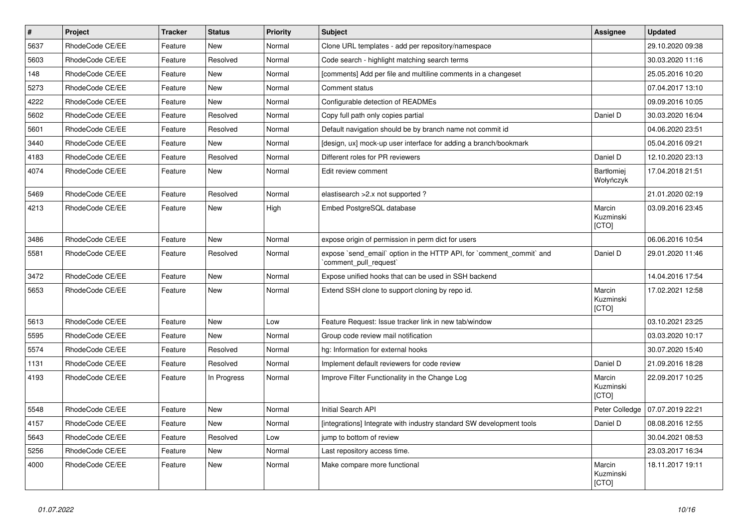| $\vert$ # | Project         | <b>Tracker</b> | <b>Status</b> | <b>Priority</b> | <b>Subject</b>                                                                                 | <b>Assignee</b>              | <b>Updated</b>                    |
|-----------|-----------------|----------------|---------------|-----------------|------------------------------------------------------------------------------------------------|------------------------------|-----------------------------------|
| 5637      | RhodeCode CE/EE | Feature        | New           | Normal          | Clone URL templates - add per repository/namespace                                             |                              | 29.10.2020 09:38                  |
| 5603      | RhodeCode CE/EE | Feature        | Resolved      | Normal          | Code search - highlight matching search terms                                                  |                              | 30.03.2020 11:16                  |
| 148       | RhodeCode CE/EE | Feature        | New           | Normal          | [comments] Add per file and multiline comments in a changeset                                  |                              | 25.05.2016 10:20                  |
| 5273      | RhodeCode CE/EE | Feature        | New           | Normal          | Comment status                                                                                 |                              | 07.04.2017 13:10                  |
| 4222      | RhodeCode CE/EE | Feature        | New           | Normal          | Configurable detection of READMEs                                                              |                              | 09.09.2016 10:05                  |
| 5602      | RhodeCode CE/EE | Feature        | Resolved      | Normal          | Copy full path only copies partial                                                             | Daniel D                     | 30.03.2020 16:04                  |
| 5601      | RhodeCode CE/EE | Feature        | Resolved      | Normal          | Default navigation should be by branch name not commit id                                      |                              | 04.06.2020 23:51                  |
| 3440      | RhodeCode CE/EE | Feature        | New           | Normal          | [design, ux] mock-up user interface for adding a branch/bookmark                               |                              | 05.04.2016 09:21                  |
| 4183      | RhodeCode CE/EE | Feature        | Resolved      | Normal          | Different roles for PR reviewers                                                               | Daniel D                     | 12.10.2020 23:13                  |
| 4074      | RhodeCode CE/EE | Feature        | New           | Normal          | Edit review comment                                                                            | Bartłomiej<br>Wołyńczyk      | 17.04.2018 21:51                  |
| 5469      | RhodeCode CE/EE | Feature        | Resolved      | Normal          | elastisearch > 2.x not supported?                                                              |                              | 21.01.2020 02:19                  |
| 4213      | RhodeCode CE/EE | Feature        | New           | High            | Embed PostgreSQL database                                                                      | Marcin<br>Kuzminski<br>[CTO] | 03.09.2016 23:45                  |
| 3486      | RhodeCode CE/EE | Feature        | <b>New</b>    | Normal          | expose origin of permission in perm dict for users                                             |                              | 06.06.2016 10:54                  |
| 5581      | RhodeCode CE/EE | Feature        | Resolved      | Normal          | expose `send_email` option in the HTTP API, for `comment_commit` and<br>`comment_pull_request` | Daniel D                     | 29.01.2020 11:46                  |
| 3472      | RhodeCode CE/EE | Feature        | New           | Normal          | Expose unified hooks that can be used in SSH backend                                           |                              | 14.04.2016 17:54                  |
| 5653      | RhodeCode CE/EE | Feature        | New           | Normal          | Extend SSH clone to support cloning by repo id.                                                | Marcin<br>Kuzminski<br>[CTO] | 17.02.2021 12:58                  |
| 5613      | RhodeCode CE/EE | Feature        | New           | Low             | Feature Request: Issue tracker link in new tab/window                                          |                              | 03.10.2021 23:25                  |
| 5595      | RhodeCode CE/EE | Feature        | <b>New</b>    | Normal          | Group code review mail notification                                                            |                              | 03.03.2020 10:17                  |
| 5574      | RhodeCode CE/EE | Feature        | Resolved      | Normal          | hg: Information for external hooks                                                             |                              | 30.07.2020 15:40                  |
| 1131      | RhodeCode CE/EE | Feature        | Resolved      | Normal          | Implement default reviewers for code review                                                    | Daniel D                     | 21.09.2016 18:28                  |
| 4193      | RhodeCode CE/EE | Feature        | In Progress   | Normal          | Improve Filter Functionality in the Change Log                                                 | Marcin<br>Kuzminski<br>[CTO] | 22.09.2017 10:25                  |
| 5548      | RhodeCode CE/EE | Feature        | New           | Normal          | Initial Search API                                                                             |                              | Peter Colledge   07.07.2019 22:21 |
| 4157      | RhodeCode CE/EE | Feature        | New           | Normal          | [integrations] Integrate with industry standard SW development tools                           | Daniel D                     | 08.08.2016 12:55                  |
| 5643      | RhodeCode CE/EE | Feature        | Resolved      | Low             | jump to bottom of review                                                                       |                              | 30.04.2021 08:53                  |
| 5256      | RhodeCode CE/EE | Feature        | New           | Normal          | Last repository access time.                                                                   |                              | 23.03.2017 16:34                  |
| 4000      | RhodeCode CE/EE | Feature        | New           | Normal          | Make compare more functional                                                                   | Marcin<br>Kuzminski<br>[CTO] | 18.11.2017 19:11                  |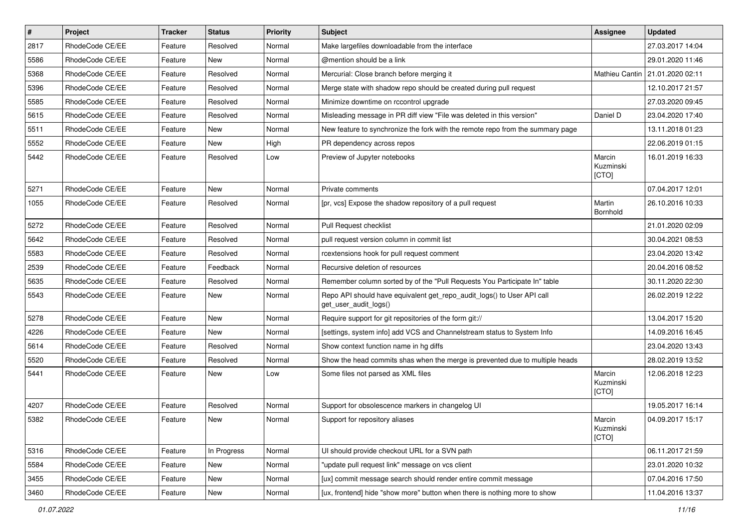| $\vert$ # | Project         | <b>Tracker</b> | <b>Status</b> | Priority | <b>Subject</b>                                                                                  | <b>Assignee</b>              | <b>Updated</b>   |
|-----------|-----------------|----------------|---------------|----------|-------------------------------------------------------------------------------------------------|------------------------------|------------------|
| 2817      | RhodeCode CE/EE | Feature        | Resolved      | Normal   | Make largefiles downloadable from the interface                                                 |                              | 27.03.2017 14:04 |
| 5586      | RhodeCode CE/EE | Feature        | New           | Normal   | @mention should be a link                                                                       |                              | 29.01.2020 11:46 |
| 5368      | RhodeCode CE/EE | Feature        | Resolved      | Normal   | Mercurial: Close branch before merging it                                                       | Mathieu Cantin               | 21.01.2020 02:11 |
| 5396      | RhodeCode CE/EE | Feature        | Resolved      | Normal   | Merge state with shadow repo should be created during pull request                              |                              | 12.10.2017 21:57 |
| 5585      | RhodeCode CE/EE | Feature        | Resolved      | Normal   | Minimize downtime on rccontrol upgrade                                                          |                              | 27.03.2020 09:45 |
| 5615      | RhodeCode CE/EE | Feature        | Resolved      | Normal   | Misleading message in PR diff view "File was deleted in this version"                           | Daniel D                     | 23.04.2020 17:40 |
| 5511      | RhodeCode CE/EE | Feature        | New           | Normal   | New feature to synchronize the fork with the remote repo from the summary page                  |                              | 13.11.2018 01:23 |
| 5552      | RhodeCode CE/EE | Feature        | <b>New</b>    | High     | PR dependency across repos                                                                      |                              | 22.06.2019 01:15 |
| 5442      | RhodeCode CE/EE | Feature        | Resolved      | Low      | Preview of Jupyter notebooks                                                                    | Marcin<br>Kuzminski<br>[CTO] | 16.01.2019 16:33 |
| 5271      | RhodeCode CE/EE | Feature        | <b>New</b>    | Normal   | Private comments                                                                                |                              | 07.04.2017 12:01 |
| 1055      | RhodeCode CE/EE | Feature        | Resolved      | Normal   | [pr, vcs] Expose the shadow repository of a pull request                                        | Martin<br>Bornhold           | 26.10.2016 10:33 |
| 5272      | RhodeCode CE/EE | Feature        | Resolved      | Normal   | Pull Request checklist                                                                          |                              | 21.01.2020 02:09 |
| 5642      | RhodeCode CE/EE | Feature        | Resolved      | Normal   | pull request version column in commit list                                                      |                              | 30.04.2021 08:53 |
| 5583      | RhodeCode CE/EE | Feature        | Resolved      | Normal   | rcextensions hook for pull request comment                                                      |                              | 23.04.2020 13:42 |
| 2539      | RhodeCode CE/EE | Feature        | Feedback      | Normal   | Recursive deletion of resources                                                                 |                              | 20.04.2016 08:52 |
| 5635      | RhodeCode CE/EE | Feature        | Resolved      | Normal   | Remember column sorted by of the "Pull Requests You Participate In" table                       |                              | 30.11.2020 22:30 |
| 5543      | RhodeCode CE/EE | Feature        | New           | Normal   | Repo API should have equivalent get_repo_audit_logs() to User API call<br>get_user_audit_logs() |                              | 26.02.2019 12:22 |
| 5278      | RhodeCode CE/EE | Feature        | New           | Normal   | Require support for git repositories of the form git://                                         |                              | 13.04.2017 15:20 |
| 4226      | RhodeCode CE/EE | Feature        | New           | Normal   | [settings, system info] add VCS and Channelstream status to System Info                         |                              | 14.09.2016 16:45 |
| 5614      | RhodeCode CE/EE | Feature        | Resolved      | Normal   | Show context function name in hg diffs                                                          |                              | 23.04.2020 13:43 |
| 5520      | RhodeCode CE/EE | Feature        | Resolved      | Normal   | Show the head commits shas when the merge is prevented due to multiple heads                    |                              | 28.02.2019 13:52 |
| 5441      | RhodeCode CE/EE | Feature        | <b>New</b>    | Low      | Some files not parsed as XML files                                                              | Marcin<br>Kuzminski<br>[CTO] | 12.06.2018 12:23 |
| 4207      | RhodeCode CE/EE | Feature        | Resolved      | Normal   | Support for obsolescence markers in changelog UI                                                |                              | 19.05.2017 16:14 |
| 5382      | RhodeCode CE/EE | Feature        | New           | Normal   | Support for repository aliases                                                                  | Marcin<br>Kuzminski<br>[CTO] | 04.09.2017 15:17 |
| 5316      | RhodeCode CE/EE | Feature        | In Progress   | Normal   | UI should provide checkout URL for a SVN path                                                   |                              | 06.11.2017 21:59 |
| 5584      | RhodeCode CE/EE | Feature        | New           | Normal   | "update pull request link" message on vcs client                                                |                              | 23.01.2020 10:32 |
| 3455      | RhodeCode CE/EE | Feature        | New           | Normal   | [ux] commit message search should render entire commit message                                  |                              | 07.04.2016 17:50 |
| 3460      | RhodeCode CE/EE | Feature        | New           | Normal   | [ux, frontend] hide "show more" button when there is nothing more to show                       |                              | 11.04.2016 13:37 |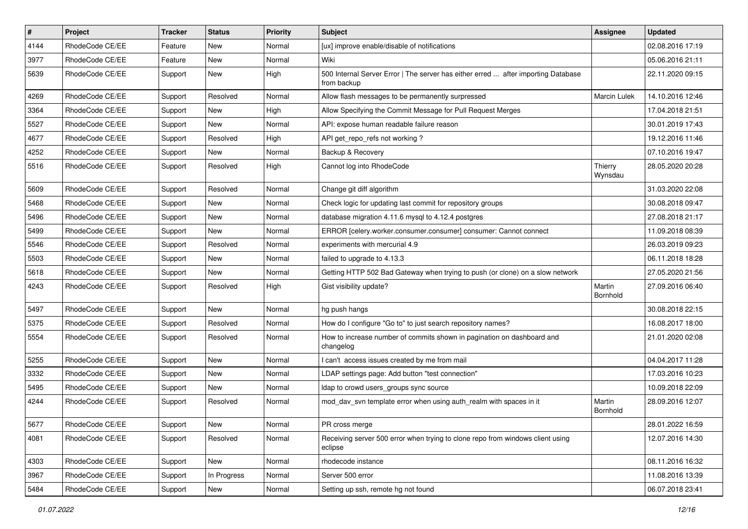| $\vert$ # | Project         | <b>Tracker</b> | <b>Status</b> | <b>Priority</b> | <b>Subject</b>                                                                                   | Assignee           | <b>Updated</b>   |
|-----------|-----------------|----------------|---------------|-----------------|--------------------------------------------------------------------------------------------------|--------------------|------------------|
| 4144      | RhodeCode CE/EE | Feature        | New           | Normal          | [ux] improve enable/disable of notifications                                                     |                    | 02.08.2016 17:19 |
| 3977      | RhodeCode CE/EE | Feature        | <b>New</b>    | Normal          | Wiki                                                                                             |                    | 05.06.2016 21:11 |
| 5639      | RhodeCode CE/EE | Support        | New           | High            | 500 Internal Server Error   The server has either erred  after importing Database<br>from backup |                    | 22.11.2020 09:15 |
| 4269      | RhodeCode CE/EE | Support        | Resolved      | Normal          | Allow flash messages to be permanently surpressed                                                | Marcin Lulek       | 14.10.2016 12:46 |
| 3364      | RhodeCode CE/EE | Support        | New           | High            | Allow Specifying the Commit Message for Pull Request Merges                                      |                    | 17.04.2018 21:51 |
| 5527      | RhodeCode CE/EE | Support        | New           | Normal          | API: expose human readable failure reason                                                        |                    | 30.01.2019 17:43 |
| 4677      | RhodeCode CE/EE | Support        | Resolved      | High            | API get repo refs not working?                                                                   |                    | 19.12.2016 11:46 |
| 4252      | RhodeCode CE/EE | Support        | New           | Normal          | Backup & Recovery                                                                                |                    | 07.10.2016 19:47 |
| 5516      | RhodeCode CE/EE | Support        | Resolved      | High            | Cannot log into RhodeCode                                                                        | Thierry<br>Wynsdau | 28.05.2020 20:28 |
| 5609      | RhodeCode CE/EE | Support        | Resolved      | Normal          | Change git diff algorithm                                                                        |                    | 31.03.2020 22:08 |
| 5468      | RhodeCode CE/EE | Support        | <b>New</b>    | Normal          | Check logic for updating last commit for repository groups                                       |                    | 30.08.2018 09:47 |
| 5496      | RhodeCode CE/EE | Support        | New           | Normal          | database migration 4.11.6 mysql to 4.12.4 postgres                                               |                    | 27.08.2018 21:17 |
| 5499      | RhodeCode CE/EE | Support        | <b>New</b>    | Normal          | ERROR [celery.worker.consumer.consumer] consumer: Cannot connect                                 |                    | 11.09.2018 08:39 |
| 5546      | RhodeCode CE/EE | Support        | Resolved      | Normal          | experiments with mercurial 4.9                                                                   |                    | 26.03.2019 09:23 |
| 5503      | RhodeCode CE/EE | Support        | New           | Normal          | failed to upgrade to 4.13.3                                                                      |                    | 06.11.2018 18:28 |
| 5618      | RhodeCode CE/EE | Support        | New           | Normal          | Getting HTTP 502 Bad Gateway when trying to push (or clone) on a slow network                    |                    | 27.05.2020 21:56 |
| 4243      | RhodeCode CE/EE | Support        | Resolved      | High            | Gist visibility update?                                                                          | Martin<br>Bornhold | 27.09.2016 06:40 |
| 5497      | RhodeCode CE/EE | Support        | New           | Normal          | hg push hangs                                                                                    |                    | 30.08.2018 22:15 |
| 5375      | RhodeCode CE/EE | Support        | Resolved      | Normal          | How do I configure "Go to" to just search repository names?                                      |                    | 16.08.2017 18:00 |
| 5554      | RhodeCode CE/EE | Support        | Resolved      | Normal          | How to increase number of commits shown in pagination on dashboard and<br>changelog              |                    | 21.01.2020 02:08 |
| 5255      | RhodeCode CE/EE | Support        | New           | Normal          | I can't access issues created by me from mail                                                    |                    | 04.04.2017 11:28 |
| 3332      | RhodeCode CE/EE | Support        | <b>New</b>    | Normal          | LDAP settings page: Add button "test connection"                                                 |                    | 17.03.2016 10:23 |
| 5495      | RhodeCode CE/EE | Support        | New           | Normal          | Idap to crowd users_groups sync source                                                           |                    | 10.09.2018 22:09 |
| 4244      | RhodeCode CE/EE | Support        | Resolved      | Normal          | mod day syn template error when using auth realm with spaces in it                               | Martin<br>Bornhold | 28.09.2016 12:07 |
| 5677      | RhodeCode CE/EE | Support        | New           | Normal          | PR cross merge                                                                                   |                    | 28.01.2022 16:59 |
| 4081      | RhodeCode CE/EE | Support        | Resolved      | Normal          | Receiving server 500 error when trying to clone repo from windows client using<br>eclipse        |                    | 12.07.2016 14:30 |
| 4303      | RhodeCode CE/EE | Support        | New           | Normal          | rhodecode instance                                                                               |                    | 08.11.2016 16:32 |
| 3967      | RhodeCode CE/EE | Support        | In Progress   | Normal          | Server 500 error                                                                                 |                    | 11.08.2016 13:39 |
| 5484      | RhodeCode CE/EE | Support        | New           | Normal          | Setting up ssh, remote hg not found                                                              |                    | 06.07.2018 23:41 |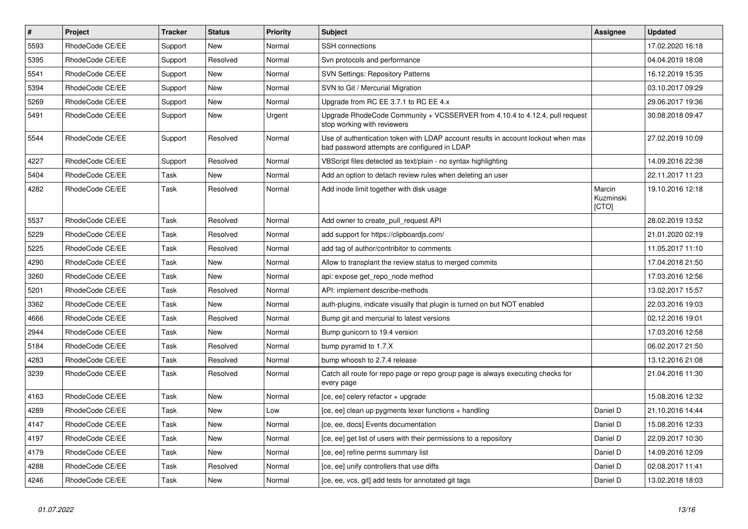| $\vert$ # | <b>Project</b>  | <b>Tracker</b> | <b>Status</b> | <b>Priority</b> | <b>Subject</b>                                                                                                                    | Assignee                     | <b>Updated</b>   |
|-----------|-----------------|----------------|---------------|-----------------|-----------------------------------------------------------------------------------------------------------------------------------|------------------------------|------------------|
| 5593      | RhodeCode CE/EE | Support        | New           | Normal          | SSH connections                                                                                                                   |                              | 17.02.2020 16:18 |
| 5395      | RhodeCode CE/EE | Support        | Resolved      | Normal          | Svn protocols and performance                                                                                                     |                              | 04.04.2019 18:08 |
| 5541      | RhodeCode CE/EE | Support        | New           | Normal          | <b>SVN Settings: Repository Patterns</b>                                                                                          |                              | 16.12.2019 15:35 |
| 5394      | RhodeCode CE/EE | Support        | <b>New</b>    | Normal          | SVN to Git / Mercurial Migration                                                                                                  |                              | 03.10.2017 09:29 |
| 5269      | RhodeCode CE/EE | Support        | <b>New</b>    | Normal          | Upgrade from RC EE 3.7.1 to RC EE 4.x                                                                                             |                              | 29.06.2017 19:36 |
| 5491      | RhodeCode CE/EE | Support        | New           | Urgent          | Upgrade RhodeCode Community + VCSSERVER from 4.10.4 to 4.12.4, pull request<br>stop working with reviewers                        |                              | 30.08.2018 09:47 |
| 5544      | RhodeCode CE/EE | Support        | Resolved      | Normal          | Use of authentication token with LDAP account results in account lockout when max<br>bad password attempts are configured in LDAP |                              | 27.02.2019 10:09 |
| 4227      | RhodeCode CE/EE | Support        | Resolved      | Normal          | VBScript files detected as text/plain - no syntax highlighting                                                                    |                              | 14.09.2016 22:38 |
| 5404      | RhodeCode CE/EE | Task           | <b>New</b>    | Normal          | Add an option to detach review rules when deleting an user                                                                        |                              | 22.11.2017 11:23 |
| 4282      | RhodeCode CE/EE | Task           | Resolved      | Normal          | Add inode limit together with disk usage                                                                                          | Marcin<br>Kuzminski<br>[CTO] | 19.10.2016 12:18 |
| 5537      | RhodeCode CE/EE | Task           | Resolved      | Normal          | Add owner to create pull request API                                                                                              |                              | 28.02.2019 13:52 |
| 5229      | RhodeCode CE/EE | Task           | Resolved      | Normal          | add support for https://clipboardjs.com/                                                                                          |                              | 21.01.2020 02:19 |
| 5225      | RhodeCode CE/EE | Task           | Resolved      | Normal          | add tag of author/contribitor to comments                                                                                         |                              | 11.05.2017 11:10 |
| 4290      | RhodeCode CE/EE | Task           | New           | Normal          | Allow to transplant the review status to merged commits                                                                           |                              | 17.04.2018 21:50 |
| 3260      | RhodeCode CE/EE | Task           | <b>New</b>    | Normal          | api: expose get repo node method                                                                                                  |                              | 17.03.2016 12:56 |
| 5201      | RhodeCode CE/EE | Task           | Resolved      | Normal          | API: implement describe-methods                                                                                                   |                              | 13.02.2017 15:57 |
| 3362      | RhodeCode CE/EE | Task           | New           | Normal          | auth-plugins, indicate visually that plugin is turned on but NOT enabled                                                          |                              | 22.03.2016 19:03 |
| 4666      | RhodeCode CE/EE | Task           | Resolved      | Normal          | Bump git and mercurial to latest versions                                                                                         |                              | 02.12.2016 19:01 |
| 2944      | RhodeCode CE/EE | Task           | New           | Normal          | Bump gunicorn to 19.4 version                                                                                                     |                              | 17.03.2016 12:58 |
| 5184      | RhodeCode CE/EE | Task           | Resolved      | Normal          | bump pyramid to 1.7.X                                                                                                             |                              | 06.02.2017 21:50 |
| 4283      | RhodeCode CE/EE | Task           | Resolved      | Normal          | bump whoosh to 2.7.4 release                                                                                                      |                              | 13.12.2016 21:08 |
| 3239      | RhodeCode CE/EE | Task           | Resolved      | Normal          | Catch all route for repo page or repo group page is always executing checks for<br>every page                                     |                              | 21.04.2016 11:30 |
| 4163      | RhodeCode CE/EE | Task           | New           | Normal          | [ce, ee] celery refactor + upgrade                                                                                                |                              | 15.08.2016 12:32 |
| 4289      | RhodeCode CE/EE | Task           | New           | Low             | [ce, ee] clean up pygments lexer functions + handling                                                                             | Daniel D                     | 21.10.2016 14:44 |
| 4147      | RhodeCode CE/EE | Task           | New           | Normal          | [ce, ee, docs] Events documentation                                                                                               | Daniel D                     | 15.08.2016 12:33 |
| 4197      | RhodeCode CE/EE | Task           | New           | Normal          | [ce, ee] get list of users with their permissions to a repository                                                                 | Daniel D                     | 22.09.2017 10:30 |
| 4179      | RhodeCode CE/EE | Task           | New           | Normal          | [ce, ee] refine perms summary list                                                                                                | Daniel D                     | 14.09.2016 12:09 |
| 4288      | RhodeCode CE/EE | Task           | Resolved      | Normal          | [ce, ee] unify controllers that use diffs                                                                                         | Daniel D                     | 02.08.2017 11:41 |
| 4246      | RhodeCode CE/EE | Task           | <b>New</b>    | Normal          | [ce, ee, vcs, git] add tests for annotated git tags                                                                               | Daniel D                     | 13.02.2018 18:03 |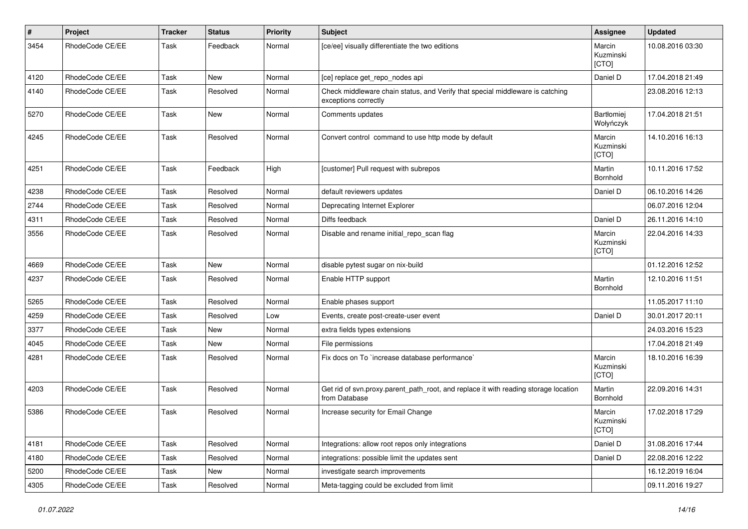| $\sharp$ | Project         | <b>Tracker</b> | <b>Status</b> | <b>Priority</b> | <b>Subject</b>                                                                                        | <b>Assignee</b>              | <b>Updated</b>   |
|----------|-----------------|----------------|---------------|-----------------|-------------------------------------------------------------------------------------------------------|------------------------------|------------------|
| 3454     | RhodeCode CE/EE | Task           | Feedback      | Normal          | [ce/ee] visually differentiate the two editions                                                       | Marcin<br>Kuzminski<br>[CTO] | 10.08.2016 03:30 |
| 4120     | RhodeCode CE/EE | Task           | <b>New</b>    | Normal          | [ce] replace get_repo_nodes api                                                                       | Daniel D                     | 17.04.2018 21:49 |
| 4140     | RhodeCode CE/EE | Task           | Resolved      | Normal          | Check middleware chain status, and Verify that special middleware is catching<br>exceptions correctly |                              | 23.08.2016 12:13 |
| 5270     | RhodeCode CE/EE | Task           | <b>New</b>    | Normal          | Comments updates                                                                                      | Bartłomiej<br>Wołyńczyk      | 17.04.2018 21:51 |
| 4245     | RhodeCode CE/EE | Task           | Resolved      | Normal          | Convert control command to use http mode by default                                                   | Marcin<br>Kuzminski<br>[CTO] | 14.10.2016 16:13 |
| 4251     | RhodeCode CE/EE | Task           | Feedback      | High            | [customer] Pull request with subrepos                                                                 | Martin<br>Bornhold           | 10.11.2016 17:52 |
| 4238     | RhodeCode CE/EE | Task           | Resolved      | Normal          | default reviewers updates                                                                             | Daniel D                     | 06.10.2016 14:26 |
| 2744     | RhodeCode CE/EE | Task           | Resolved      | Normal          | Deprecating Internet Explorer                                                                         |                              | 06.07.2016 12:04 |
| 4311     | RhodeCode CE/EE | Task           | Resolved      | Normal          | Diffs feedback                                                                                        | Daniel D                     | 26.11.2016 14:10 |
| 3556     | RhodeCode CE/EE | Task           | Resolved      | Normal          | Disable and rename initial repo scan flag                                                             | Marcin<br>Kuzminski<br>[CTO] | 22.04.2016 14:33 |
| 4669     | RhodeCode CE/EE | Task           | <b>New</b>    | Normal          | disable pytest sugar on nix-build                                                                     |                              | 01.12.2016 12:52 |
| 4237     | RhodeCode CE/EE | Task           | Resolved      | Normal          | Enable HTTP support                                                                                   | Martin<br>Bornhold           | 12.10.2016 11:51 |
| 5265     | RhodeCode CE/EE | Task           | Resolved      | Normal          | Enable phases support                                                                                 |                              | 11.05.2017 11:10 |
| 4259     | RhodeCode CE/EE | Task           | Resolved      | Low             | Events, create post-create-user event                                                                 | Daniel D                     | 30.01.2017 20:11 |
| 3377     | RhodeCode CE/EE | Task           | New           | Normal          | extra fields types extensions                                                                         |                              | 24.03.2016 15:23 |
| 4045     | RhodeCode CE/EE | Task           | <b>New</b>    | Normal          | File permissions                                                                                      |                              | 17.04.2018 21:49 |
| 4281     | RhodeCode CE/EE | Task           | Resolved      | Normal          | Fix docs on To `increase database performance`                                                        | Marcin<br>Kuzminski<br>[CTO] | 18.10.2016 16:39 |
| 4203     | RhodeCode CE/EE | Task           | Resolved      | Normal          | Get rid of svn.proxy.parent_path_root, and replace it with reading storage location<br>from Database  | Martin<br>Bornhold           | 22.09.2016 14:31 |
| 5386     | RhodeCode CE/EE | Task           | Resolved      | Normal          | Increase security for Email Change                                                                    | Marcin<br>Kuzminski<br>[CTO] | 17.02.2018 17:29 |
| 4181     | RhodeCode CE/EE | Task           | Resolved      | Normal          | Integrations: allow root repos only integrations                                                      | Daniel D                     | 31.08.2016 17:44 |
| 4180     | RhodeCode CE/EE | Task           | Resolved      | Normal          | integrations: possible limit the updates sent                                                         | Daniel D                     | 22.08.2016 12:22 |
| 5200     | RhodeCode CE/EE | Task           | New           | Normal          | investigate search improvements                                                                       |                              | 16.12.2019 16:04 |
| 4305     | RhodeCode CE/EE | Task           | Resolved      | Normal          | Meta-tagging could be excluded from limit                                                             |                              | 09.11.2016 19:27 |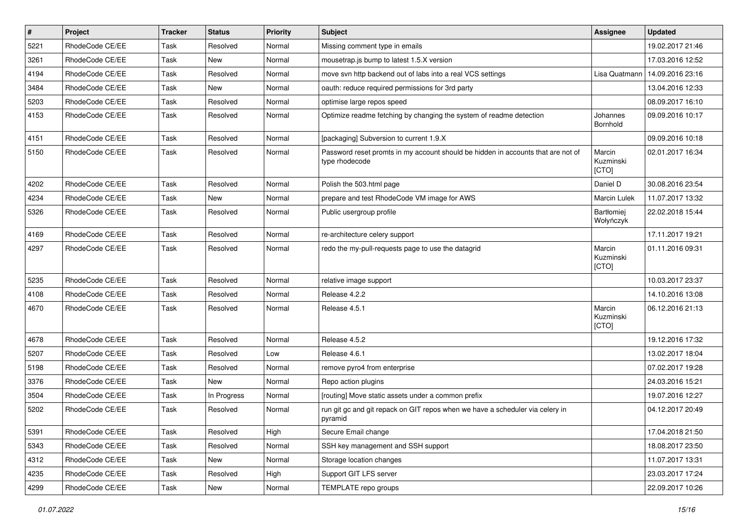| $\vert$ # | Project         | <b>Tracker</b> | <b>Status</b> | <b>Priority</b> | <b>Subject</b>                                                                                     | <b>Assignee</b>              | <b>Updated</b>   |
|-----------|-----------------|----------------|---------------|-----------------|----------------------------------------------------------------------------------------------------|------------------------------|------------------|
| 5221      | RhodeCode CE/EE | Task           | Resolved      | Normal          | Missing comment type in emails                                                                     |                              | 19.02.2017 21:46 |
| 3261      | RhodeCode CE/EE | Task           | <b>New</b>    | Normal          | mousetrap.js bump to latest 1.5.X version                                                          |                              | 17.03.2016 12:52 |
| 4194      | RhodeCode CE/EE | Task           | Resolved      | Normal          | move svn http backend out of labs into a real VCS settings                                         | Lisa Quatmann                | 14.09.2016 23:16 |
| 3484      | RhodeCode CE/EE | Task           | New           | Normal          | oauth: reduce required permissions for 3rd party                                                   |                              | 13.04.2016 12:33 |
| 5203      | RhodeCode CE/EE | Task           | Resolved      | Normal          | optimise large repos speed                                                                         |                              | 08.09.2017 16:10 |
| 4153      | RhodeCode CE/EE | Task           | Resolved      | Normal          | Optimize readme fetching by changing the system of readme detection                                | Johannes<br>Bornhold         | 09.09.2016 10:17 |
| 4151      | RhodeCode CE/EE | Task           | Resolved      | Normal          | [packaging] Subversion to current 1.9.X                                                            |                              | 09.09.2016 10:18 |
| 5150      | RhodeCode CE/EE | Task           | Resolved      | Normal          | Password reset promts in my account should be hidden in accounts that are not of<br>type rhodecode | Marcin<br>Kuzminski<br>[CTO] | 02.01.2017 16:34 |
| 4202      | RhodeCode CE/EE | Task           | Resolved      | Normal          | Polish the 503.html page                                                                           | Daniel D                     | 30.08.2016 23:54 |
| 4234      | RhodeCode CE/EE | Task           | <b>New</b>    | Normal          | prepare and test RhodeCode VM image for AWS                                                        | Marcin Lulek                 | 11.07.2017 13:32 |
| 5326      | RhodeCode CE/EE | Task           | Resolved      | Normal          | Public usergroup profile                                                                           | Bartłomiej<br>Wołyńczyk      | 22.02.2018 15:44 |
| 4169      | RhodeCode CE/EE | Task           | Resolved      | Normal          | re-architecture celery support                                                                     |                              | 17.11.2017 19:21 |
| 4297      | RhodeCode CE/EE | Task           | Resolved      | Normal          | redo the my-pull-requests page to use the datagrid                                                 | Marcin<br>Kuzminski<br>[CTO] | 01.11.2016 09:31 |
| 5235      | RhodeCode CE/EE | Task           | Resolved      | Normal          | relative image support                                                                             |                              | 10.03.2017 23:37 |
| 4108      | RhodeCode CE/EE | Task           | Resolved      | Normal          | Release 4.2.2                                                                                      |                              | 14.10.2016 13:08 |
| 4670      | RhodeCode CE/EE | Task           | Resolved      | Normal          | Release 4.5.1                                                                                      | Marcin<br>Kuzminski<br>[CTO] | 06.12.2016 21:13 |
| 4678      | RhodeCode CE/EE | Task           | Resolved      | Normal          | Release 4.5.2                                                                                      |                              | 19.12.2016 17:32 |
| 5207      | RhodeCode CE/EE | Task           | Resolved      | Low             | Release 4.6.1                                                                                      |                              | 13.02.2017 18:04 |
| 5198      | RhodeCode CE/EE | Task           | Resolved      | Normal          | remove pyro4 from enterprise                                                                       |                              | 07.02.2017 19:28 |
| 3376      | RhodeCode CE/EE | Task           | New           | Normal          | Repo action plugins                                                                                |                              | 24.03.2016 15:21 |
| 3504      | RhodeCode CE/EE | Task           | In Progress   | Normal          | [routing] Move static assets under a common prefix                                                 |                              | 19.07.2016 12:27 |
| 5202      | RhodeCode CE/EE | Task           | Resolved      | Normal          | run git gc and git repack on GIT repos when we have a scheduler via celery in<br>pyramid           |                              | 04.12.2017 20:49 |
| 5391      | RhodeCode CE/EE | Task           | Resolved      | High            | Secure Email change                                                                                |                              | 17.04.2018 21:50 |
| 5343      | RhodeCode CE/EE | Task           | Resolved      | Normal          | SSH key management and SSH support                                                                 |                              | 18.08.2017 23:50 |
| 4312      | RhodeCode CE/EE | Task           | New           | Normal          | Storage location changes                                                                           |                              | 11.07.2017 13:31 |
| 4235      | RhodeCode CE/EE | Task           | Resolved      | High            | Support GIT LFS server                                                                             |                              | 23.03.2017 17:24 |
| 4299      | RhodeCode CE/EE | Task           | New           | Normal          | TEMPLATE repo groups                                                                               |                              | 22.09.2017 10:26 |